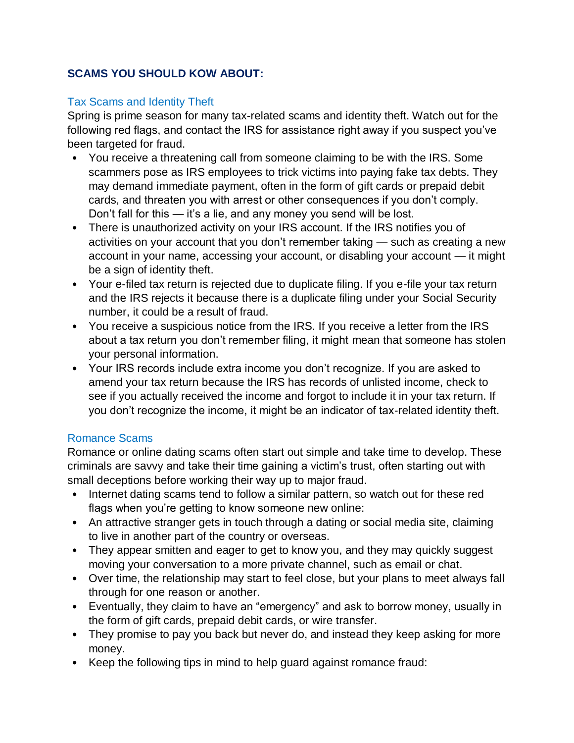# **SCAMS YOU SHOULD KOW ABOUT:**

## Tax Scams and Identity Theft

Spring is prime season for many tax-related scams and identity theft. Watch out for the following red flags, and contact the IRS for assistance right away if you suspect you've been targeted for fraud.

- You receive a threatening call from someone claiming to be with the IRS. Some scammers pose as IRS employees to trick victims into paying fake tax debts. They may demand immediate payment, often in the form of gift cards or prepaid debit cards, and threaten you with arrest or other consequences if you don't comply. Don't fall for this — it's a lie, and any money you send will be lost.
- There is unauthorized activity on your IRS account. If the IRS notifies you of activities on your account that you don't remember taking — such as creating a new account in your name, accessing your account, or disabling your account — it might be a sign of identity theft.
- Your e-filed tax return is rejected due to duplicate filing. If you e-file your tax return and the IRS rejects it because there is a duplicate filing under your Social Security number, it could be a result of fraud.
- You receive a suspicious notice from the IRS. If you receive a letter from the IRS about a tax return you don't remember filing, it might mean that someone has stolen your personal information.
- Your IRS records include extra income you don't recognize. If you are asked to amend your tax return because the IRS has records of unlisted income, check to see if you actually received the income and forgot to include it in your tax return. If you don't recognize the income, it might be an indicator of tax-related identity theft.

## Romance Scams

Romance or online dating scams often start out simple and take time to develop. These criminals are savvy and take their time gaining a victim's trust, often starting out with small deceptions before working their way up to major fraud.

- Internet dating scams tend to follow a similar pattern, so watch out for these red flags when you're getting to know someone new online:
- An attractive stranger gets in touch through a dating or social media site, claiming to live in another part of the country or overseas.
- They appear smitten and eager to get to know you, and they may quickly suggest moving your conversation to a more private channel, such as email or chat.
- Over time, the relationship may start to feel close, but your plans to meet always fall through for one reason or another.
- Eventually, they claim to have an "emergency" and ask to borrow money, usually in the form of gift cards, prepaid debit cards, or wire transfer.
- They promise to pay you back but never do, and instead they keep asking for more money.
- Keep the following tips in mind to help guard against romance fraud: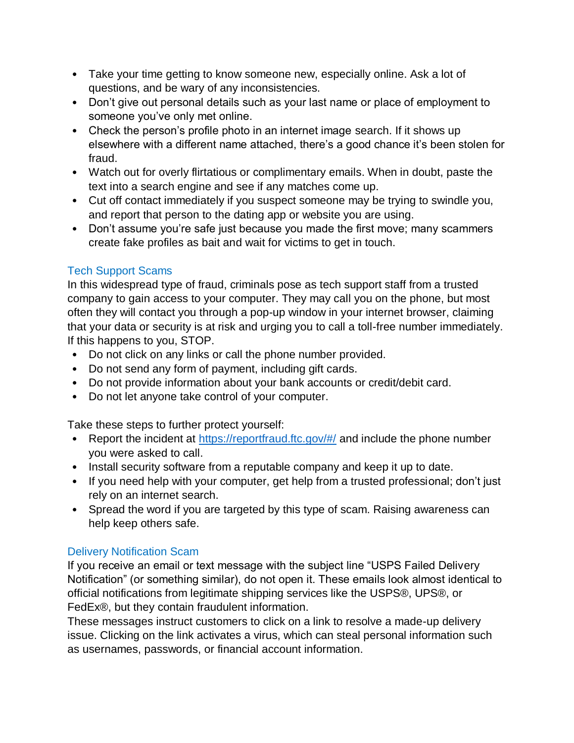- Take your time getting to know someone new, especially online. Ask a lot of questions, and be wary of any inconsistencies.
- Don't give out personal details such as your last name or place of employment to someone you've only met online.
- Check the person's profile photo in an internet image search. If it shows up elsewhere with a different name attached, there's a good chance it's been stolen for fraud.
- Watch out for overly flirtatious or complimentary emails. When in doubt, paste the text into a search engine and see if any matches come up.
- Cut off contact immediately if you suspect someone may be trying to swindle you, and report that person to the dating app or website you are using.
- Don't assume you're safe just because you made the first move; many scammers create fake profiles as bait and wait for victims to get in touch.

# Tech Support Scams

In this widespread type of fraud, criminals pose as tech support staff from a trusted company to gain access to your computer. They may call you on the phone, but most often they will contact you through a pop-up window in your internet browser, claiming that your data or security is at risk and urging you to call a toll-free number immediately. If this happens to you, STOP.

- Do not click on any links or call the phone number provided.
- Do not send any form of payment, including gift cards.
- Do not provide information about your bank accounts or credit/debit card.
- Do not let anyone take control of your computer.

Take these steps to further protect yourself:

- Report the incident at <https://reportfraud.ftc.gov/#/> and include the phone number you were asked to call.
- Install security software from a reputable company and keep it up to date.
- If you need help with your computer, get help from a trusted professional; don't just rely on an internet search.
- Spread the word if you are targeted by this type of scam. Raising awareness can help keep others safe.

# Delivery Notification Scam

If you receive an email or text message with the subject line "USPS Failed Delivery Notification" (or something similar), do not open it. These emails look almost identical to official notifications from legitimate shipping services like the USPS®, UPS®, or FedEx®, but they contain fraudulent information.

These messages instruct customers to click on a link to resolve a made-up delivery issue. Clicking on the link activates a virus, which can steal personal information such as usernames, passwords, or financial account information.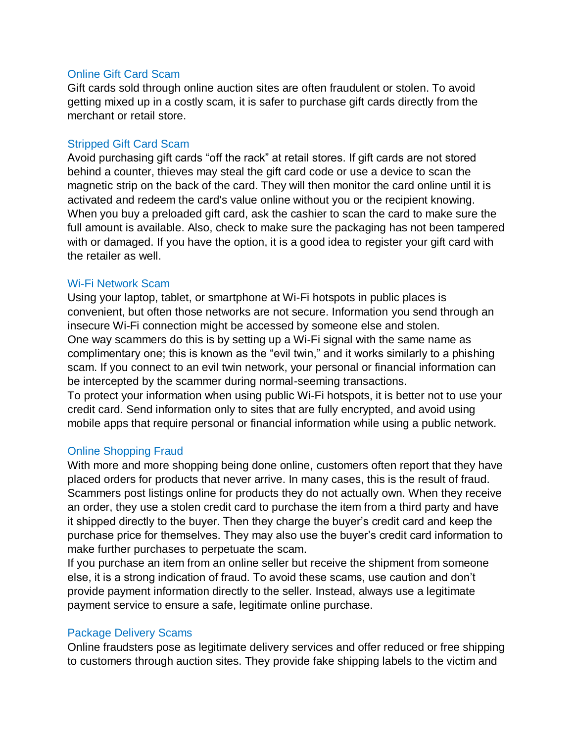#### Online Gift Card Scam

Gift cards sold through online auction sites are often fraudulent or stolen. To avoid getting mixed up in a costly scam, it is safer to purchase gift cards directly from the merchant or retail store.

#### Stripped Gift Card Scam

Avoid purchasing gift cards "off the rack" at retail stores. If gift cards are not stored behind a counter, thieves may steal the gift card code or use a device to scan the magnetic strip on the back of the card. They will then monitor the card online until it is activated and redeem the card's value online without you or the recipient knowing. When you buy a preloaded gift card, ask the cashier to scan the card to make sure the full amount is available. Also, check to make sure the packaging has not been tampered with or damaged. If you have the option, it is a good idea to register your gift card with the retailer as well.

#### Wi-Fi Network Scam

Using your laptop, tablet, or smartphone at Wi-Fi hotspots in public places is convenient, but often those networks are not secure. Information you send through an insecure Wi-Fi connection might be accessed by someone else and stolen. One way scammers do this is by setting up a Wi-Fi signal with the same name as complimentary one; this is known as the "evil twin," and it works similarly to a phishing scam. If you connect to an evil twin network, your personal or financial information can be intercepted by the scammer during normal-seeming transactions.

To protect your information when using public Wi-Fi hotspots, it is better not to use your credit card. Send information only to sites that are fully encrypted, and avoid using mobile apps that require personal or financial information while using a public network.

## Online Shopping Fraud

With more and more shopping being done online, customers often report that they have placed orders for products that never arrive. In many cases, this is the result of fraud. Scammers post listings online for products they do not actually own. When they receive an order, they use a stolen credit card to purchase the item from a third party and have it shipped directly to the buyer. Then they charge the buyer's credit card and keep the purchase price for themselves. They may also use the buyer's credit card information to make further purchases to perpetuate the scam.

If you purchase an item from an online seller but receive the shipment from someone else, it is a strong indication of fraud. To avoid these scams, use caution and don't provide payment information directly to the seller. Instead, always use a legitimate payment service to ensure a safe, legitimate online purchase.

## Package Delivery Scams

Online fraudsters pose as legitimate delivery services and offer reduced or free shipping to customers through auction sites. They provide fake shipping labels to the victim and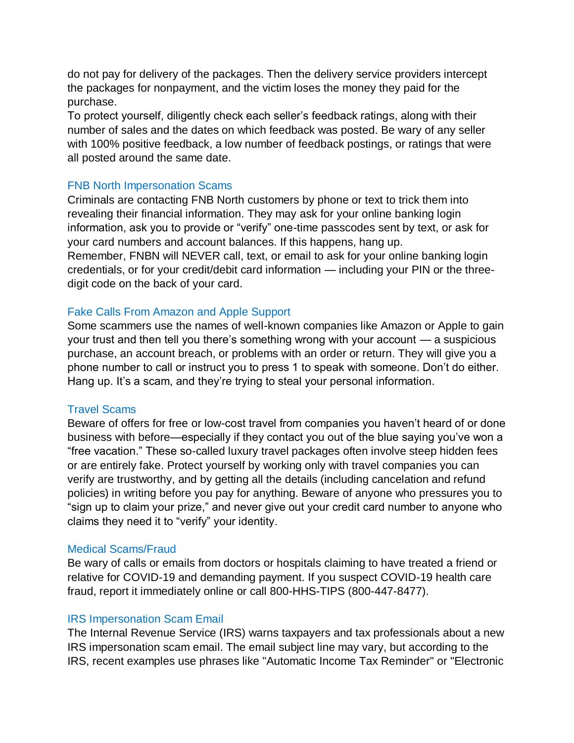do not pay for delivery of the packages. Then the delivery service providers intercept the packages for nonpayment, and the victim loses the money they paid for the purchase.

To protect yourself, diligently check each seller's feedback ratings, along with their number of sales and the dates on which feedback was posted. Be wary of any seller with 100% positive feedback, a low number of feedback postings, or ratings that were all posted around the same date.

## FNB North Impersonation Scams

Criminals are contacting FNB North customers by phone or text to trick them into revealing their financial information. They may ask for your online banking login information, ask you to provide or "verify" one-time passcodes sent by text, or ask for your card numbers and account balances. If this happens, hang up.

Remember, FNBN will NEVER call, text, or email to ask for your online banking login credentials, or for your credit/debit card information — including your PIN or the threedigit code on the back of your card.

## Fake Calls From Amazon and Apple Support

Some scammers use the names of well-known companies like Amazon or Apple to gain your trust and then tell you there's something wrong with your account — a suspicious purchase, an account breach, or problems with an order or return. They will give you a phone number to call or instruct you to press 1 to speak with someone. Don't do either. Hang up. It's a scam, and they're trying to steal your personal information.

#### Travel Scams

Beware of offers for free or low-cost travel from companies you haven't heard of or done business with before—especially if they contact you out of the blue saying you've won a "free vacation." These so-called luxury travel packages often involve steep hidden fees or are entirely fake. Protect yourself by working only with travel companies you can verify are trustworthy, and by getting all the details (including cancelation and refund policies) in writing before you pay for anything. Beware of anyone who pressures you to "sign up to claim your prize," and never give out your credit card number to anyone who claims they need it to "verify" your identity.

#### Medical Scams/Fraud

Be wary of calls or emails from doctors or hospitals claiming to have treated a friend or relative for COVID-19 and demanding payment. If you suspect COVID-19 health care fraud, report it immediately online or call 800-HHS-TIPS (800-447-8477).

## IRS Impersonation Scam Email

The Internal Revenue Service (IRS) warns taxpayers and tax professionals about a new IRS impersonation scam email. The email subject line may vary, but according to the IRS, recent examples use phrases like "Automatic Income Tax Reminder" or "Electronic